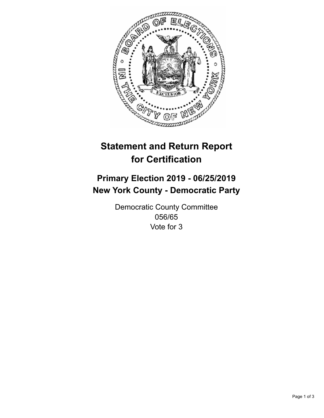

## **Statement and Return Report for Certification**

## **Primary Election 2019 - 06/25/2019 New York County - Democratic Party**

Democratic County Committee 056/65 Vote for 3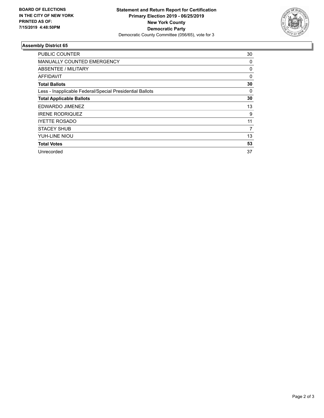

## **Assembly District 65**

| PUBLIC COUNTER                                           | 30 |
|----------------------------------------------------------|----|
| MANUALLY COUNTED EMERGENCY                               | 0  |
| ABSENTEE / MILITARY                                      | 0  |
| <b>AFFIDAVIT</b>                                         | 0  |
| <b>Total Ballots</b>                                     | 30 |
| Less - Inapplicable Federal/Special Presidential Ballots | 0  |
| <b>Total Applicable Ballots</b>                          | 30 |
| EDWARDO JIMENEZ                                          | 13 |
| <b>IRENE RODRIQUEZ</b>                                   | 9  |
| <b>IYETTE ROSADO</b>                                     | 11 |
| <b>STACEY SHUB</b>                                       | 7  |
| YUH-LINE NIOU                                            | 13 |
| <b>Total Votes</b>                                       | 53 |
| Unrecorded                                               | 37 |